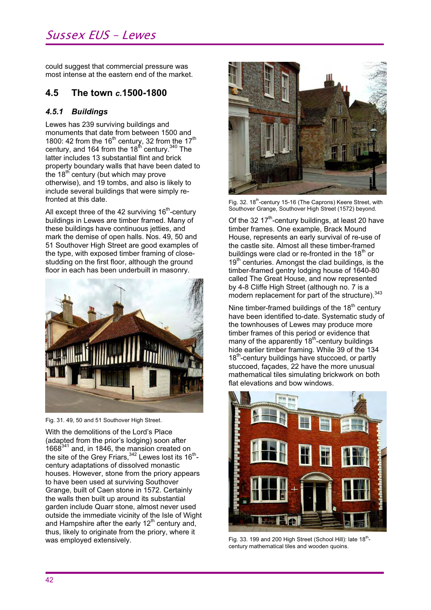## Sussex EUS – Lewes

could suggest that commercial pressure was most intense at the eastern end of the market.

### **4.5 The town** *c.***1500-1800**

#### *4.5.1 Buildings*

Lewes has 239 surviving buildings and monuments that date from between 1500 and 1800: 42 from the 16<sup>th</sup> century, 32 from the 17<sup>th</sup> century, and 164 from the 18<sup>th</sup> century.<sup>340</sup> The latter includes 13 substantial flint and brick property boundary walls that have been dated to the  $18<sup>th</sup>$  century (but which may prove otherwise), and 19 tombs, and also is likely to include several buildings that were simply refronted at this date.

All except three of the 42 surviving  $16<sup>th</sup>$ -century buildings in Lewes are timber framed. Many of these buildings have continuous jetties, and mark the demise of open halls. Nos. 49, 50 and 51 Southover High Street are good examples of the type, with exposed timber framing of closestudding on the first floor, although the ground floor in each has been underbuilt in masonry.



Fig. 31. 49, 50 and 51 Southover High Street.

With the demolitions of the Lord's Place (adapted from the prior's lodging) soon after  $1668^{341}$  and, in 1846, the mansion created on the site of the Grey Friars, $^{342}$  Lewes lost its 16 $^{\sf th}$ century adaptations of dissolved monastic houses. However, stone from the priory appears to have been used at surviving Southover Grange, built of Caen stone in 1572. Certainly the walls then built up around its substantial garden include Quarr stone, almost never used outside the immediate vicinity of the Isle of Wight and Hampshire after the early  $12<sup>th</sup>$  century and, thus, likely to originate from the priory, where it was employed extensively.



Fig. 32. 18<sup>th</sup>-century 15-16 (The Caprons) Keere Street, with Southover Grange, Southover High Street (1572) beyond.

Of the 32 17<sup>th</sup>-century buildings, at least 20 have timber frames. One example, Brack Mound House, represents an early survival of re-use of the castle site. Almost all these timber-framed buildings were clad or re-fronted in the  $18<sup>th</sup>$  or  $19<sup>th</sup>$  centuries. Amongst the clad buildings, is the timber-framed gentry lodging house of 1640-80 called The Great House, and now represented by 4-8 Cliffe High Street (although no. 7 is a modern replacement for part of the structure).<sup>343</sup>

Nine timber-framed buildings of the  $18<sup>th</sup>$  century have been identified to-date. Systematic study of the townhouses of Lewes may produce more timber frames of this period or evidence that many of the apparently 18<sup>th</sup>-century buildings hide earlier timber framing. While 39 of the 134 18<sup>th</sup>-century buildings have stuccoed, or partly stuccoed, façades, 22 have the more unusual mathematical tiles simulating brickwork on both flat elevations and bow windows.



Fig. 33. 199 and 200 High Street (School Hill): late  $18<sup>th</sup>$ century mathematical tiles and wooden quoins.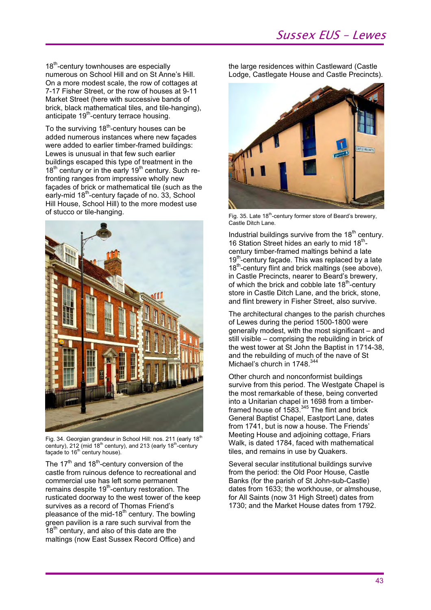18<sup>th</sup>-century townhouses are especially numerous on School Hill and on St Anne's Hill. On a more modest scale, the row of cottages at 7-17 Fisher Street, or the row of houses at 9-11 Market Street (here with successive bands of brick, black mathematical tiles, and tile-hanging), anticipate 19<sup>th</sup>-century terrace housing.

To the surviving 18<sup>th</sup>-century houses can be added numerous instances where new façades were added to earlier timber-framed buildings: Lewes is unusual in that few such earlier buildings escaped this type of treatment in the  $18<sup>th</sup>$  century or in the early  $19<sup>th</sup>$  century. Such refronting ranges from impressive wholly new façades of brick or mathematical tile (such as the early-mid  $18<sup>th</sup>$ -century façade of no. 33, School Hill House, School Hill) to the more modest use of stucco or tile-hanging.



Fig. 34. Georgian grandeur in School Hill: nos. 211 (early 18<sup>th</sup> century), 212 (mid 18<sup>th</sup> century), and 213 (early 18<sup>th</sup>-century façade to 16<sup>th</sup> century house).

The  $17<sup>th</sup>$  and  $18<sup>th</sup>$ -century conversion of the castle from ruinous defence to recreational and commercial use has left some permanent remains despite  $19<sup>th</sup>$ -century restoration. The rusticated doorway to the west tower of the keep survives as a record of Thomas Friend's pleasance of the mid-18<sup>th</sup> century. The bowling green pavilion is a rare such survival from the  $18<sup>th</sup>$  century, and also of this date are the maltings (now East Sussex Record Office) and

the large residences within Castleward (Castle Lodge, Castlegate House and Castle Precincts).



Fig. 35. Late 18<sup>th</sup>-century former store of Beard's brewery, Castle Ditch Lane.

Industrial buildings survive from the  $18<sup>th</sup>$  century. 16 Station Street hides an early to mid  $18^{th}$ century timber-framed maltings behind a late 19<sup>th</sup>-century facade. This was replaced by a late 18<sup>th</sup>-century flint and brick maltings (see above). in Castle Precincts, nearer to Beard's brewery, of which the brick and cobble late  $18<sup>th</sup>$ -century store in Castle Ditch Lane, and the brick, stone, and flint brewery in Fisher Street, also survive.

The architectural changes to the parish churches of Lewes during the period 1500-1800 were generally modest, with the most significant – and still visible – comprising the rebuilding in brick of the west tower at St John the Baptist in 1714-38, and the rebuilding of much of the nave of St Michael's church in 1748.<sup>344</sup>

Other church and nonconformist buildings survive from this period. The Westgate Chapel is the most remarkable of these, being converted into a Unitarian chapel in 1698 from a timberframed house of 1583.<sup>345</sup> The flint and brick General Baptist Chapel, Eastport Lane, dates from 1741, but is now a house. The Friends' Meeting House and adjoining cottage, Friars Walk, is dated 1784, faced with mathematical tiles, and remains in use by Quakers.

Several secular institutional buildings survive from the period: the Old Poor House, Castle Banks (for the parish of St John-sub-Castle) dates from 1633; the workhouse, or almshouse, for All Saints (now 31 High Street) dates from 1730; and the Market House dates from 1792.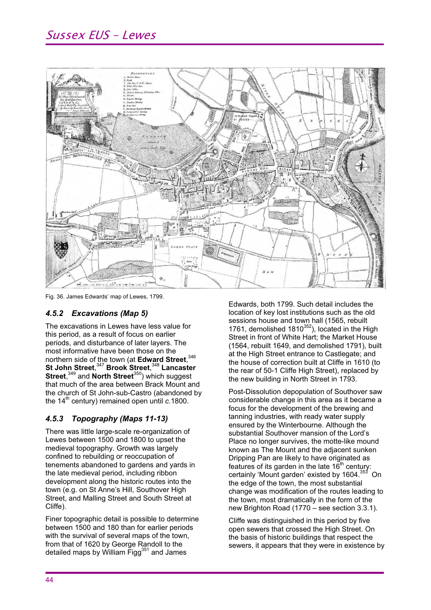

Fig. 36. James Edwards' map of Lewes, 1799.

### *4.5.2 Excavations (Map 5)*

The excavations in Lewes have less value for this period, as a result of focus on earlier periods, and disturbance of later layers. The most informative have been those on the northern side of the town (at **Edward Street**, 346 **St John Street**, <sup>347</sup>**Brook Street**, <sup>348</sup>**Lancaster Street**, 349 and **North Street**350) which suggest that much of the area between Brack Mount and the church of St John-sub-Castro (abandoned by the 14<sup>th</sup> century) remained open until *c.*1800.

### *4.5.3 Topography (Maps 11-13)*

There was little large-scale re-organization of Lewes between 1500 and 1800 to upset the medieval topography. Growth was largely confined to rebuilding or reoccupation of tenements abandoned to gardens and yards in the late medieval period, including ribbon development along the historic routes into the town (e.g. on St Anne's Hill, Southover High Street, and Malling Street and South Street at Cliffe).

Finer topographic detail is possible to determine between 1500 and 180 than for earlier periods with the survival of several maps of the town, from that of 1620 by George Randoll to the detailed maps by William Figg<sup>351</sup> and James

Edwards, both 1799. Such detail includes the location of key lost institutions such as the old sessions house and town hall (1565, rebuilt 1761, demolished  $1810^{352}$ ), located in the High Street in front of White Hart; the Market House (1564, rebuilt 1649, and demolished 1791), built at the High Street entrance to Castlegate; and the house of correction built at Cliffe in 1610 (to the rear of 50-1 Cliffe High Street), replaced by the new building in North Street in 1793.

Post-Dissolution depopulation of Southover saw considerable change in this area as it became a focus for the development of the brewing and tanning industries, with ready water supply ensured by the Winterbourne. Although the substantial Southover mansion of the Lord's Place no longer survives, the motte-like mound known as The Mount and the adjacent sunken Dripping Pan are likely to have originated as features of its garden in the late  $16<sup>th</sup>$  century: certainly 'Mount garden' existed by 1604.<sup>353</sup> On the edge of the town, the most substantial change was modification of the routes leading to the town, most dramatically in the form of the new Brighton Road (1770 – see section 3.3.1).

Cliffe was distinguished in this period by five open sewers that crossed the High Street. On the basis of historic buildings that respect the sewers, it appears that they were in existence by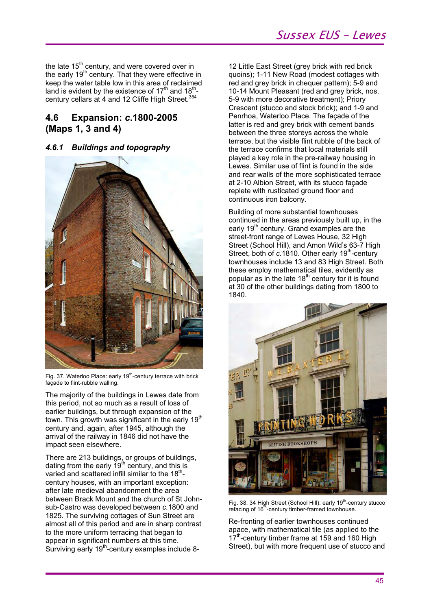the late  $15<sup>th</sup>$  century, and were covered over in the early  $19<sup>th</sup>$  century. That they were effective in keep the water table low in this area of reclaimed land is evident by the existence of  $17<sup>th</sup>$  and  $18<sup>th</sup>$ century cellars at 4 and 12 Cliffe High Street.<sup>354</sup>

### **4.6 Expansion:** *c***.1800-2005 (Maps 1, 3 and 4)**

### *4.6.1 Buildings and topography*



Fig. 37. Waterloo Place: early 19<sup>th</sup>-century terrace with brick façade to flint-rubble walling.

The majority of the buildings in Lewes date from this period, not so much as a result of loss of earlier buildings, but through expansion of the town. This growth was significant in the early 19<sup>th</sup> century and, again, after 1945, although the arrival of the railway in 1846 did not have the impact seen elsewhere.

There are 213 buildings, or groups of buildings, dating from the early  $19<sup>th</sup>$  century, and this is varied and scattered infill similar to the  $18<sup>th</sup>$ century houses, with an important exception: after late medieval abandonment the area between Brack Mount and the church of St Johnsub-Castro was developed between *c.*1800 and 1825. The surviving cottages of Sun Street are almost all of this period and are in sharp contrast to the more uniform terracing that began to appear in significant numbers at this time. Surviving early 19<sup>th</sup>-century examples include 812 Little East Street (grey brick with red brick quoins); 1-11 New Road (modest cottages with red and grey brick in chequer pattern); 5-9 and 10-14 Mount Pleasant (red and grey brick, nos. 5-9 with more decorative treatment); Priory Crescent (stucco and stock brick); and 1-9 and Penrhoa, Waterloo Place. The façade of the latter is red and grey brick with cement bands between the three storeys across the whole terrace, but the visible flint rubble of the back of the terrace confirms that local materials still played a key role in the pre-railway housing in Lewes. Similar use of flint is found in the side and rear walls of the more sophisticated terrace at 2-10 Albion Street, with its stucco façade replete with rusticated ground floor and continuous iron balcony.

Building of more substantial townhouses continued in the areas previously built up, in the early  $19<sup>th</sup>$  century. Grand examples are the street-front range of Lewes House, 32 High Street (School Hill), and Amon Wild's 63-7 High Street, both of *c.*1810. Other early 19<sup>th</sup>-century townhouses include 13 and 83 High Street. Both these employ mathematical tiles, evidently as popular as in the late  $18<sup>th</sup>$  century for it is found at 30 of the other buildings dating from 1800 to 1840.



Fig. 38. 34 High Street (School Hill): early 19<sup>th</sup>-century stucco refacing of  $16<sup>th</sup>$ -century timber-framed townhouse.

Re-fronting of earlier townhouses continued apace, with mathematical tile (as applied to the 17<sup>th</sup>-century timber frame at 159 and 160 High Street), but with more frequent use of stucco and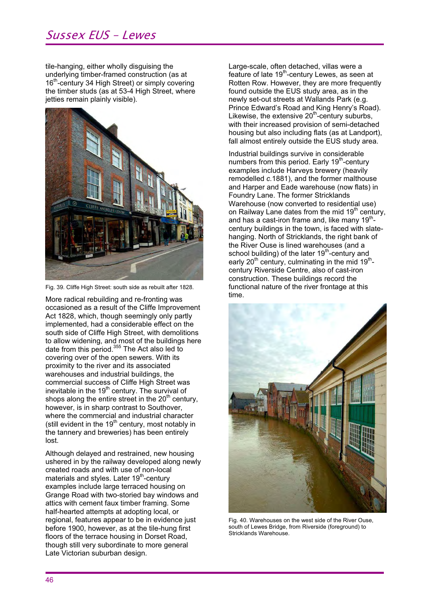# Sussex EUS – Lewes

tile-hanging, either wholly disguising the underlying timber-framed construction (as at  $16<sup>th</sup>$ -century 34 High Street) or simply covering the timber studs (as at 53-4 High Street, where jetties remain plainly visible).



Fig. 39. Cliffe High Street: south side as rebuilt after 1828.

More radical rebuilding and re-fronting was occasioned as a result of the Cliffe Improvement Act 1828, which, though seemingly only partly implemented, had a considerable effect on the south side of Cliffe High Street, with demolitions to allow widening, and most of the buildings here date from this period.<sup>355</sup> The Act also led to covering over of the open sewers. With its proximity to the river and its associated warehouses and industrial buildings, the commercial success of Cliffe High Street was inevitable in the 19<sup>th</sup> century. The survival of shops along the entire street in the  $20<sup>th</sup>$  century, however, is in sharp contrast to Southover, where the commercial and industrial character (still evident in the  $19<sup>th</sup>$  century, most notably in the tannery and breweries) has been entirely lost.

Although delayed and restrained, new housing ushered in by the railway developed along newly created roads and with use of non-local materials and styles. Later 19<sup>th</sup>-centurv examples include large terraced housing on Grange Road with two-storied bay windows and attics with cement faux timber framing. Some half-hearted attempts at adopting local, or regional, features appear to be in evidence just before 1900, however, as at the tile-hung first floors of the terrace housing in Dorset Road, though still very subordinate to more general Late Victorian suburban design.

Large-scale, often detached, villas were a feature of late  $19<sup>th</sup>$ -century Lewes, as seen at Rotten Row. However, they are more frequently found outside the EUS study area, as in the newly set-out streets at Wallands Park (e.g. Prince Edward's Road and King Henry's Road). Likewise, the extensive  $20<sup>th</sup>$ -century suburbs, with their increased provision of semi-detached housing but also including flats (as at Landport), fall almost entirely outside the EUS study area.

Industrial buildings survive in considerable numbers from this period. Early 19<sup>th</sup>-century examples include Harveys brewery (heavily remodelled *c.*1881), and the former malthouse and Harper and Eade warehouse (now flats) in Foundry Lane. The former Stricklands Warehouse (now converted to residential use) on Railway Lane dates from the mid  $19<sup>th</sup>$  century, and has a cast-iron frame and, like many  $19<sup>th</sup>$ century buildings in the town, is faced with slatehanging. North of Stricklands, the right bank of the River Ouse is lined warehouses (and a school building) of the later 19<sup>th</sup>-century and early  $20<sup>th</sup>$  century, culminating in the mid  $19<sup>th</sup>$ century Riverside Centre, also of cast-iron construction. These buildings record the functional nature of the river frontage at this time.



Fig. 40. Warehouses on the west side of the River Ouse, south of Lewes Bridge, from Riverside (foreground) to Stricklands Warehouse.